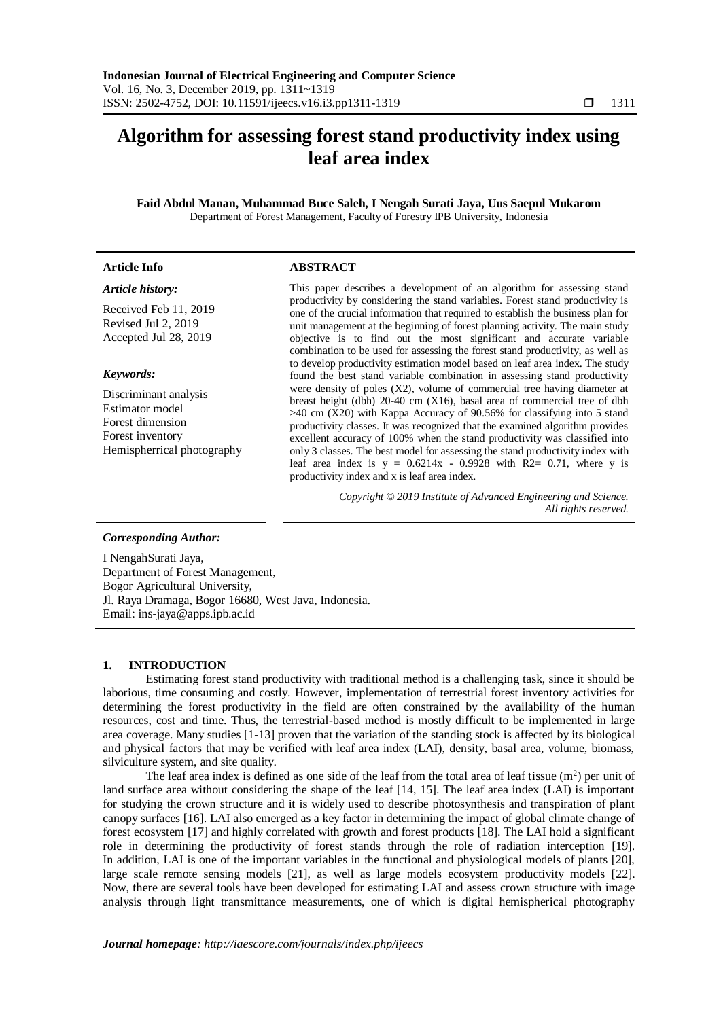# **Algorithm for assessing forest stand productivity index using leaf area index**

**Faid Abdul Manan, Muhammad Buce Saleh, I Nengah Surati Jaya, Uus Saepul Mukarom** Department of Forest Management, Faculty of Forestry IPB University, Indonesia

# **Article Info ABSTRACT**

#### *Article history:*

Received Feb 11, 2019 Revised Jul 2, 2019 Accepted Jul 28, 2019

#### *Keywords:*

Discriminant analysis Estimator model Forest dimension Forest inventory Hemispherrical photography

This paper describes a development of an algorithm for assessing stand productivity by considering the stand variables. Forest stand productivity is one of the crucial information that required to establish the business plan for unit management at the beginning of forest planning activity. The main study objective is to find out the most significant and accurate variable combination to be used for assessing the forest stand productivity, as well as to develop productivity estimation model based on leaf area index. The study found the best stand variable combination in assessing stand productivity were density of poles (X2), volume of commercial tree having diameter at breast height (dbh) 20-40 cm (X16), basal area of commercial tree of dbh  $>40$  cm (X20) with Kappa Accuracy of 90.56% for classifying into 5 stand productivity classes. It was recognized that the examined algorithm provides excellent accuracy of 100% when the stand productivity was classified into only 3 classes. The best model for assessing the stand productivity index with leaf area index is  $y = 0.6214x - 0.9928$  with R2= 0.71, where y is productivity index and x is leaf area index.

> *Copyright © 2019 Institute of Advanced Engineering and Science. All rights reserved.*

#### *Corresponding Author:*

I NengahSurati Jaya, Department of Forest Management, Bogor Agricultural University, Jl. Raya Dramaga, Bogor 16680, West Java, Indonesia. Email: ins-jaya@apps.ipb.ac.id

#### **1. INTRODUCTION**

Estimating forest stand productivity with traditional method is a challenging task, since it should be laborious, time consuming and costly. However, implementation of terrestrial forest inventory activities for determining the forest productivity in the field are often constrained by the availability of the human resources, cost and time. Thus, the terrestrial-based method is mostly difficult to be implemented in large area coverage. Many studies [1-13] proven that the variation of the standing stock is affected by its biological and physical factors that may be verified with leaf area index (LAI), density, basal area, volume, biomass, silviculture system, and site quality.

The leaf area index is defined as one side of the leaf from the total area of leaf tissue  $(m^2)$  per unit of land surface area without considering the shape of the leaf [14, 15]. The leaf area index (LAI) is important for studying the crown structure and it is widely used to describe photosynthesis and transpiration of plant canopy surfaces [16]. LAI also emerged as a key factor in determining the impact of global climate change of forest ecosystem [17] and highly correlated with growth and forest products [18]. The LAI hold a significant role in determining the productivity of forest stands through the role of radiation interception [19]. In addition, LAI is one of the important variables in the functional and physiological models of plants [20], large scale remote sensing models [21], as well as large models ecosystem productivity models [22]. Now, there are several tools have been developed for estimating LAI and assess crown structure with image analysis through light transmittance measurements, one of which is digital hemispherical photography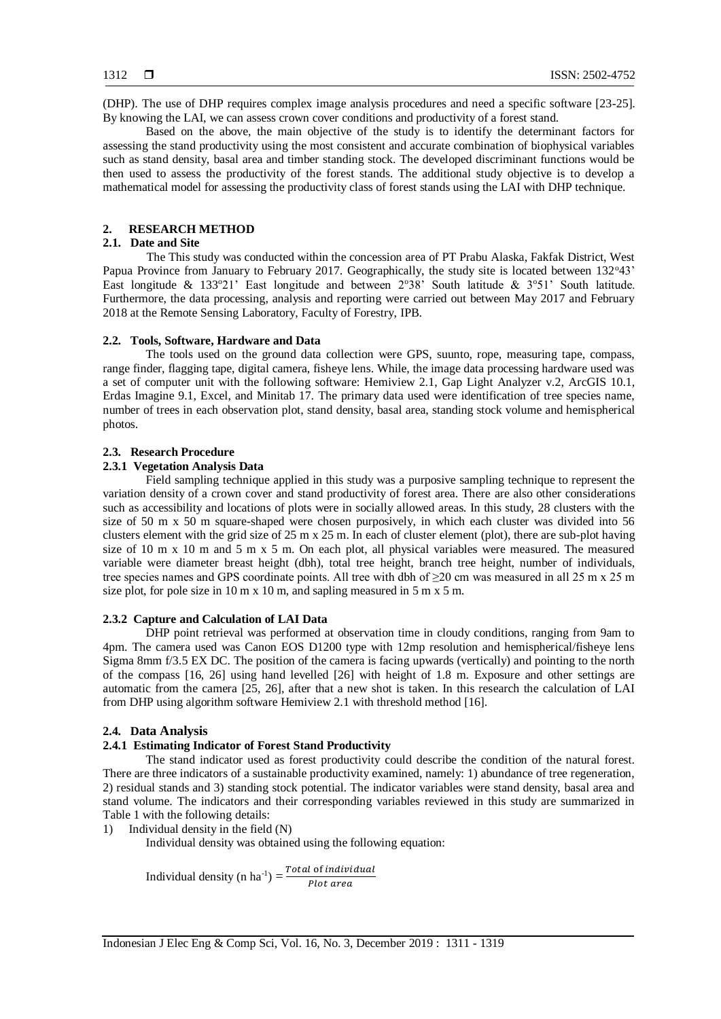(DHP). The use of DHP requires complex image analysis procedures and need a specific software [23-25]. By knowing the LAI, we can assess crown cover conditions and productivity of a forest stand.

Based on the above, the main objective of the study is to identify the determinant factors for assessing the stand productivity using the most consistent and accurate combination of biophysical variables such as stand density, basal area and timber standing stock. The developed discriminant functions would be then used to assess the productivity of the forest stands. The additional study objective is to develop a mathematical model for assessing the productivity class of forest stands using the LAI with DHP technique.

# **2. RESEARCH METHOD**

# **2.1. Date and Site**

The This study was conducted within the concession area of PT Prabu Alaska, Fakfak District, West Papua Province from January to February 2017. Geographically, the study site is located between 132°43' East longitude & 133°21' East longitude and between  $2^{\circ}38'$  South latitude &  $3^{\circ}51'$  South latitude. Furthermore, the data processing, analysis and reporting were carried out between May 2017 and February 2018 at the Remote Sensing Laboratory, Faculty of Forestry, IPB.

## **2.2. Tools, Software, Hardware and Data**

The tools used on the ground data collection were GPS, suunto, rope, measuring tape, compass, range finder, flagging tape, digital camera, fisheye lens. While, the image data processing hardware used was a set of computer unit with the following software: Hemiview 2.1, Gap Light Analyzer v.2, ArcGIS 10.1, Erdas Imagine 9.1, Excel, and Minitab 17. The primary data used were identification of tree species name, number of trees in each observation plot, stand density, basal area, standing stock volume and hemispherical photos.

#### **2.3. Research Procedure**

#### **2.3.1 Vegetation Analysis Data**

Field sampling technique applied in this study was a purposive sampling technique to represent the variation density of a crown cover and stand productivity of forest area. There are also other considerations such as accessibility and locations of plots were in socially allowed areas. In this study, 28 clusters with the size of 50 m x 50 m square-shaped were chosen purposively, in which each cluster was divided into 56 clusters element with the grid size of 25 m x 25 m. In each of cluster element (plot), there are sub-plot having size of 10 m x 10 m and 5 m x 5 m. On each plot, all physical variables were measured. The measured variable were diameter breast height (dbh), total tree height, branch tree height, number of individuals, tree species names and GPS coordinate points. All tree with dbh of ≥20 cm was measured in all 25 m x 25 m size plot, for pole size in 10 m x 10 m, and sapling measured in 5 m x 5 m.

# **2.3.2 Capture and Calculation of LAI Data**

DHP point retrieval was performed at observation time in cloudy conditions, ranging from 9am to 4pm. The camera used was Canon EOS D1200 type with 12mp resolution and hemispherical/fisheye lens Sigma 8mm f/3.5 EX DC. The position of the camera is facing upwards (vertically) and pointing to the north of the compass [16, 26] using hand levelled [26] with height of 1.8 m. Exposure and other settings are automatic from the camera [25, 26], after that a new shot is taken. In this research the calculation of LAI from DHP using algorithm software Hemiview 2.1 with threshold method [16].

#### **2.4. Data Analysis**

### **2.4.1 Estimating Indicator of Forest Stand Productivity**

The stand indicator used as forest productivity could describe the condition of the natural forest. There are three indicators of a sustainable productivity examined, namely: 1) abundance of tree regeneration, 2) residual stands and 3) standing stock potential. The indicator variables were stand density, basal area and stand volume. The indicators and their corresponding variables reviewed in this study are summarized in Table 1 with the following details:

1) Individual density in the field (N)

Individual density was obtained using the following equation:

Individual density (n ha<sup>-1</sup>) =  $\frac{Total \ of \ individual}{Data \ gives}$ Plot area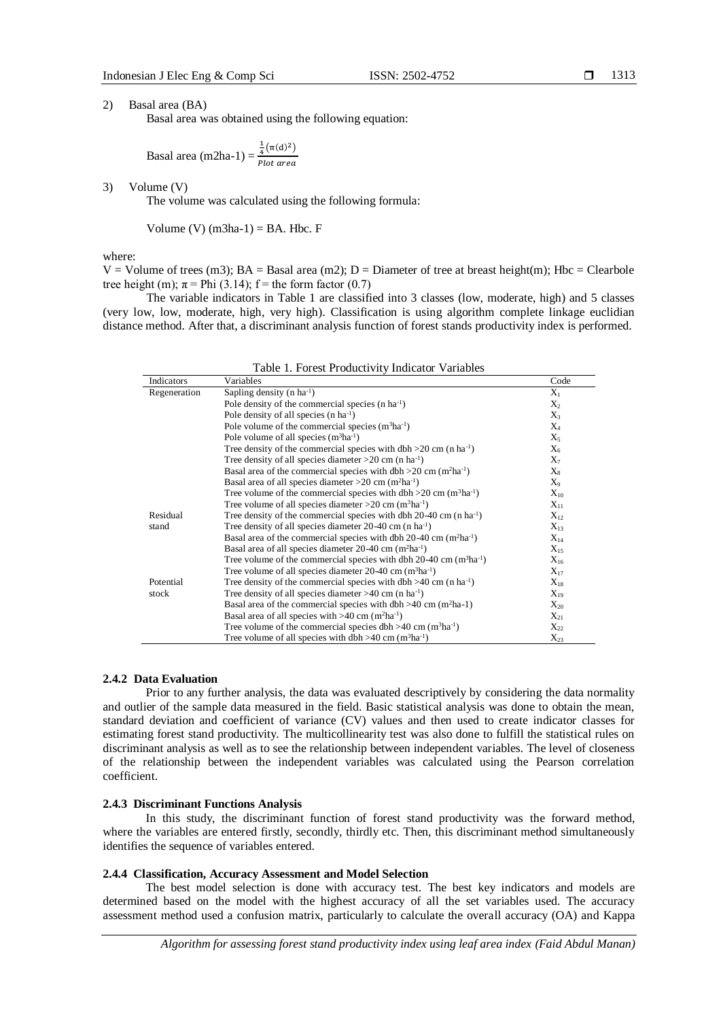#### 1313

2) Basal area (BA)

Basal area was obtained using the following equation:

Basal area  $(m2ha-1) =$  $\frac{1}{4}(\pi(d)^2)$ Plot area

3) Volume (V)

The volume was calculated using the following formula:

Volume (V)  $(m3ha-1) = BA$ . Hbc. F

where:

 $V =$  Volume of trees (m3); BA = Basal area (m2); D = Diameter of tree at breast height(m); Hbc = Clearbole tree height (m);  $\pi$  = Phi (3.14); f = the form factor (0.7)

The variable indicators in Table 1 are classified into 3 classes (low, moderate, high) and 5 classes (very low, low, moderate, high, very high). Classification is using algorithm complete linkage euclidian distance method. After that, a discriminant analysis function of forest stands productivity index is performed.

| Indicators   | Variables                                                                                    | Code     |
|--------------|----------------------------------------------------------------------------------------------|----------|
| Regeneration | Sapling density (n $ha^{-1}$ )                                                               | $X_1$    |
|              | Pole density of the commercial species $(n \, ha^{-1})$                                      | $X_2$    |
|              | Pole density of all species (n ha <sup>-1</sup> )                                            | $X_3$    |
|              | Pole volume of the commercial species $(m^3ha^{-1})$                                         | $X_4$    |
|              | Pole volume of all species $(m^3ha^{-1})$                                                    | $X_5$    |
|              | Tree density of the commercial species with dbh $>20$ cm (n ha <sup>-1</sup> )               | $X_6$    |
|              | Tree density of all species diameter $>20$ cm (n ha <sup>-1</sup> )                          | $X_7$    |
|              | Basal area of the commercial species with dbh $>20$ cm (m <sup>2</sup> ha <sup>-1</sup> )    | $X_8$    |
|              | Basal area of all species diameter > 20 cm $(m^2ha^{-1})$                                    | $X_9$    |
|              | Tree volume of the commercial species with dbh $>20$ cm (m <sup>3</sup> ha <sup>-1</sup> )   | $X_{10}$ |
|              | Tree volume of all species diameter > $20 \text{ cm}$ (m <sup>3</sup> ha <sup>-1</sup> )     | $X_{11}$ |
| Residual     | Tree density of the commercial species with dbh $20-40$ cm (n ha <sup>-1</sup> )             | $X_{12}$ |
| stand        | Tree density of all species diameter $20-40$ cm (n ha <sup>-1</sup> )                        | $X_{13}$ |
|              | Basal area of the commercial species with dbh $20-40$ cm (m <sup>2</sup> ha <sup>-1</sup> )  | $X_{14}$ |
|              | Basal area of all species diameter 20-40 cm (m <sup>2</sup> ha <sup>-1</sup> )               | $X_{15}$ |
|              | Tree volume of the commercial species with dbh $20-40$ cm (m <sup>3</sup> ha <sup>-1</sup> ) | $X_{16}$ |
|              | Tree volume of all species diameter $20-40$ cm (m <sup>3</sup> ha <sup>-1</sup> )            | $X_{17}$ |
| Potential    | Tree density of the commercial species with $dbh > 40$ cm (n ha <sup>-1</sup> )              | $X_{18}$ |
| stock        | Tree density of all species diameter >40 cm (n ha <sup>-1</sup> )                            | $X_{19}$ |
|              | Basal area of the commercial species with dbh $>40$ cm (m <sup>2</sup> ha-1)                 | $X_{20}$ |
|              | Basal area of all species with $>40$ cm (m <sup>2</sup> ha <sup>-1</sup> )                   | $X_{21}$ |
|              | Tree volume of the commercial species dbh >40 cm $(m^3ha^{-1})$                              | $X_{22}$ |
|              | Tree volume of all species with dbh $>40$ cm (m <sup>3</sup> ha <sup>-1</sup> )              | $X_{23}$ |

Table 1. Forest Productivity Indicator Variables

#### **2.4.2 Data Evaluation**

Prior to any further analysis, the data was evaluated descriptively by considering the data normality and outlier of the sample data measured in the field. Basic statistical analysis was done to obtain the mean, standard deviation and coefficient of variance (CV) values and then used to create indicator classes for estimating forest stand productivity. The multicollinearity test was also done to fulfill the statistical rules on discriminant analysis as well as to see the relationship between independent variables. The level of closeness of the relationship between the independent variables was calculated using the Pearson correlation coefficient.

#### **2.4.3 Discriminant Functions Analysis**

In this study, the discriminant function of forest stand productivity was the forward method, where the variables are entered firstly, secondly, thirdly etc. Then, this discriminant method simultaneously identifies the sequence of variables entered.

# **2.4.4 Classification, Accuracy Assessment and Model Selection**

The best model selection is done with accuracy test. The best key indicators and models are determined based on the model with the highest accuracy of all the set variables used. The accuracy assessment method used a confusion matrix, particularly to calculate the overall accuracy (OA) and Kappa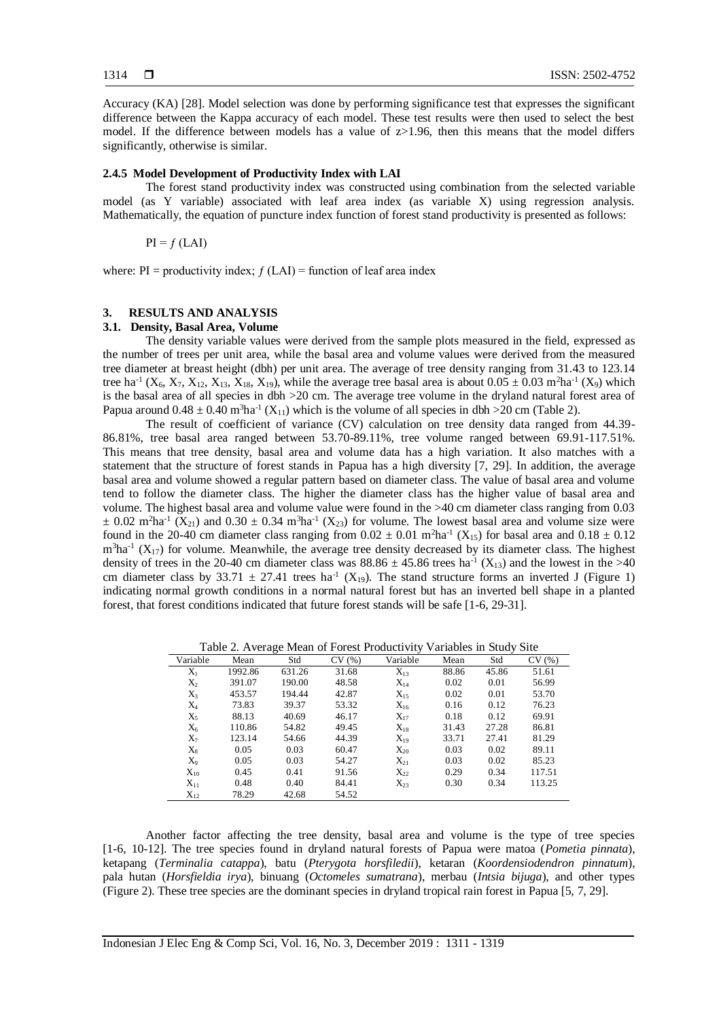Accuracy (KA) [28]. Model selection was done by performing significance test that expresses the significant difference between the Kappa accuracy of each model. These test results were then used to select the best model. If the difference between models has a value of z>1.96, then this means that the model differs significantly, otherwise is similar.

#### **2.4.5 Model Development of Productivity Index with LAI**

The forest stand productivity index was constructed using combination from the selected variable model (as Y variable) associated with leaf area index (as variable X) using regression analysis. Mathematically, the equation of puncture index function of forest stand productivity is presented as follows:

 $PI = f (LAI)$ 

where:  $PI = \text{productivity index}; f (LAI) = \text{function of leaf area index}$ 

### **3. RESULTS AND ANALYSIS**

# **3.1. Density, Basal Area, Volume**

The density variable values were derived from the sample plots measured in the field, expressed as the number of trees per unit area, while the basal area and volume values were derived from the measured tree diameter at breast height (dbh) per unit area. The average of tree density ranging from 31.43 to 123.14 tree ha<sup>-1</sup> (X<sub>6</sub>, X<sub>7</sub>, X<sub>12</sub>, X<sub>13</sub>, X<sub>18</sub>, X<sub>19</sub>), while the average tree basal area is about  $0.05 \pm 0.03$  m<sup>2</sup>ha<sup>-1</sup> (X<sub>9</sub>) which is the basal area of all species in dbh >20 cm. The average tree volume in the dryland natural forest area of Papua around  $0.48 \pm 0.40$  m<sup>3</sup>ha<sup>-1</sup> (X<sub>11</sub>) which is the volume of all species in dbh >20 cm (Table 2).

The result of coefficient of variance (CV) calculation on tree density data ranged from 44.39- 86.81%, tree basal area ranged between 53.70-89.11%, tree volume ranged between 69.91-117.51%. This means that tree density, basal area and volume data has a high variation. It also matches with a statement that the structure of forest stands in Papua has a high diversity [7, 29]. In addition, the average basal area and volume showed a regular pattern based on diameter class. The value of basal area and volume tend to follow the diameter class. The higher the diameter class has the higher value of basal area and volume. The highest basal area and volume value were found in the >40 cm diameter class ranging from 0.03  $\pm$  0.02 m<sup>2</sup>ha<sup>-1</sup> (X<sub>21</sub>) and 0.30  $\pm$  0.34 m<sup>3</sup>ha<sup>-1</sup> (X<sub>23</sub>) for volume. The lowest basal area and volume size were found in the 20-40 cm diameter class ranging from  $0.02 \pm 0.01$  m<sup>2</sup>ha<sup>-1</sup> (X<sub>15</sub>) for basal area and  $0.18 \pm 0.12$  $m<sup>3</sup>ha<sup>-1</sup>$  (X<sub>17</sub>) for volume. Meanwhile, the average tree density decreased by its diameter class. The highest density of trees in the 20-40 cm diameter class was  $88.86 \pm 45.86$  trees ha<sup>-1</sup> (X<sub>13</sub>) and the lowest in the >40 cm diameter class by 33.71  $\pm$  27.41 trees ha<sup>-1</sup> (X<sub>19</sub>). The stand structure forms an inverted J (Figure 1) indicating normal growth conditions in a normal natural forest but has an inverted bell shape in a planted forest, that forest conditions indicated that future forest stands will be safe [1-6, 29-31].

Table 2. Average Mean of Forest Productivity Variables in Study Site

| Variable | Mean    | Std    | CV(%) | Variable | Mean  | Std   | CV(%)  |
|----------|---------|--------|-------|----------|-------|-------|--------|
| $X_1$    | 1992.86 | 631.26 | 31.68 | $X_{13}$ | 88.86 | 45.86 | 51.61  |
| $X_2$    | 391.07  | 190.00 | 48.58 | $X_{14}$ | 0.02  | 0.01  | 56.99  |
| $X_3$    | 453.57  | 194.44 | 42.87 | $X_{15}$ | 0.02  | 0.01  | 53.70  |
| $X_4$    | 73.83   | 39.37  | 53.32 | $X_{16}$ | 0.16  | 0.12  | 76.23  |
| $X_5$    | 88.13   | 40.69  | 46.17 | $X_{17}$ | 0.18  | 0.12  | 69.91  |
| $X_6$    | 110.86  | 54.82  | 49.45 | $X_{18}$ | 31.43 | 27.28 | 86.81  |
| $X_7$    | 123.14  | 54.66  | 44.39 | $X_{19}$ | 33.71 | 27.41 | 81.29  |
| $X_8$    | 0.05    | 0.03   | 60.47 | $X_{20}$ | 0.03  | 0.02  | 89.11  |
| $X_9$    | 0.05    | 0.03   | 54.27 | $X_{21}$ | 0.03  | 0.02  | 85.23  |
| $X_{10}$ | 0.45    | 0.41   | 91.56 | $X_{22}$ | 0.29  | 0.34  | 117.51 |
| $X_{11}$ | 0.48    | 0.40   | 84.41 | $X_{23}$ | 0.30  | 0.34  | 113.25 |
| $X_{12}$ | 78.29   | 42.68  | 54.52 |          |       |       |        |

Another factor affecting the tree density, basal area and volume is the type of tree species [1-6, 10-12]. The tree species found in dryland natural forests of Papua were matoa (*Pometia pinnata*), ketapang (*Terminalia catappa*), batu (*Pterygota horsfiledii*), ketaran (*Koordensiodendron pinnatum*), pala hutan (*Horsfieldia irya*), binuang (*Octomeles sumatrana*), merbau (*Intsia bijuga*), and other types (Figure 2). These tree species are the dominant species in dryland tropical rain forest in Papua [5, 7, 29].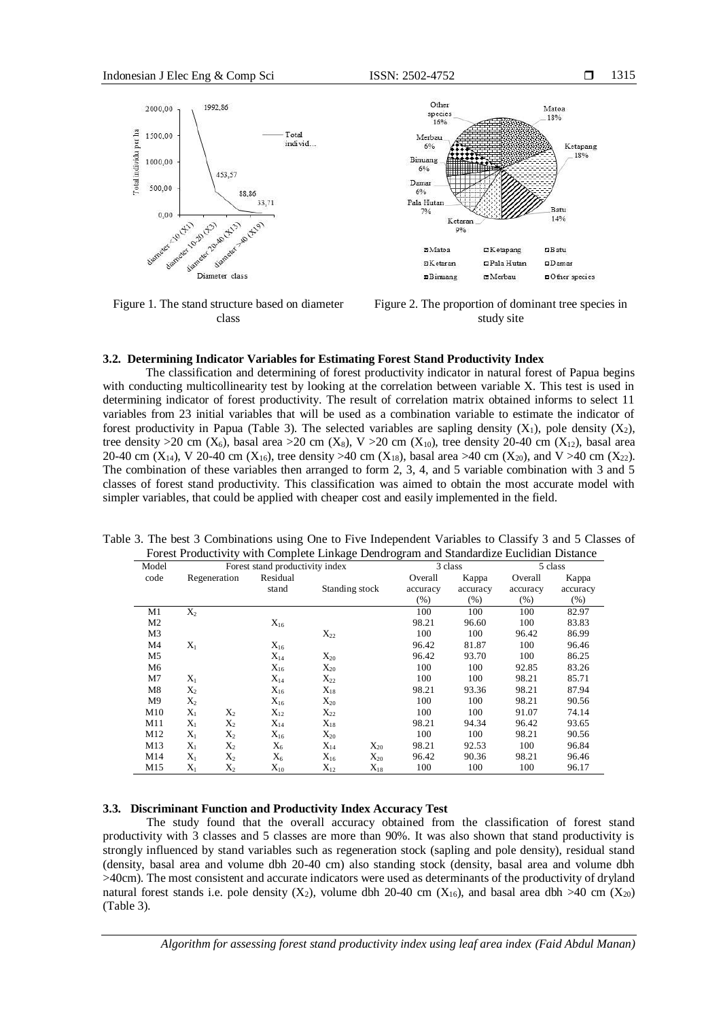

Other Matoa species<br>16% 18% Merbau 6% Ketapang 18% Binuang  $6%$ Damar 6% Pala Hutar Batu  $79/6$ 14% Ketaran  $Q_0$  $mM$ atoa  $D$ Ketapang  $n$ Batu **FIK** etaran  $D$ amar DPala Hutan

Figure 1. The stand structure based on diameter class



mMerbau

**¤Other** species

#### **3.2. Determining Indicator Variables for Estimating Forest Stand Productivity Index**

The classification and determining of forest productivity indicator in natural forest of Papua begins with conducting multicollinearity test by looking at the correlation between variable X. This test is used in determining indicator of forest productivity. The result of correlation matrix obtained informs to select 11 variables from 23 initial variables that will be used as a combination variable to estimate the indicator of forest productivity in Papua (Table 3). The selected variables are sapling density  $(X_1)$ , pole density  $(X_2)$ , tree density >20 cm ( $X_6$ ), basal area >20 cm ( $X_8$ ), V >20 cm ( $X_{10}$ ), tree density 20-40 cm ( $X_{12}$ ), basal area 20-40 cm (X<sub>14</sub>), V 20-40 cm (X<sub>16</sub>), tree density >40 cm (X<sub>18</sub>), basal area >40 cm (X<sub>20</sub>), and V >40 cm (X<sub>22</sub>). The combination of these variables then arranged to form 2, 3, 4, and 5 variable combination with 3 and 5 classes of forest stand productivity. This classification was aimed to obtain the most accurate model with simpler variables, that could be applied with cheaper cost and easily implemented in the field.

| Model          | Forest stand productivity index |       |          |                          | 3 class  |          | 5 class  |          |
|----------------|---------------------------------|-------|----------|--------------------------|----------|----------|----------|----------|
| code           | Regeneration                    |       | Residual |                          | Overall  | Kappa    | Overall  | Kappa    |
|                |                                 |       | stand    | Standing stock           | accuracy | accuracy | accuracy | accuracy |
|                |                                 |       |          |                          | $(\% )$  | $(\%)$   | (% )     | (% )     |
| M1             | $X_2$                           |       |          |                          | 100      | 100      | 100      | 82.97    |
| M <sub>2</sub> |                                 |       | $X_{16}$ |                          | 98.21    | 96.60    | 100      | 83.83    |
| M3             |                                 |       |          | $X_{22}$                 | 100      | 100      | 96.42    | 86.99    |
| M4             | $X_1$                           |       | $X_{16}$ |                          | 96.42    | 81.87    | 100      | 96.46    |
| M5             |                                 |       | $X_{14}$ | $X_{20}$                 | 96.42    | 93.70    | 100      | 86.25    |
| M6             |                                 |       | $X_{16}$ | $X_{20}$                 | 100      | 100      | 92.85    | 83.26    |
| M7             | $X_1$                           |       | $X_{14}$ | $X_{22}$                 | 100      | 100      | 98.21    | 85.71    |
| M8             | $X_2$                           |       | $X_{16}$ | $X_{18}$                 | 98.21    | 93.36    | 98.21    | 87.94    |
| M9             | $X_2$                           |       | $X_{16}$ | $X_{20}$                 | 100      | 100      | 98.21    | 90.56    |
| M10            | $X_1$                           | $X_2$ | $X_{12}$ | $X_{22}$                 | 100      | 100      | 91.07    | 74.14    |
| M11            | $X_1$                           | $X_2$ | $X_{14}$ | $X_{18}$                 | 98.21    | 94.34    | 96.42    | 93.65    |
| M12            | $X_1$                           | $X_2$ | $X_{16}$ | $X_{20}$                 | 100      | 100      | 98.21    | 90.56    |
| M13            | $X_1$                           | $X_2$ | $X_6$    | $X_{14}$<br>$X_{20}$     | 98.21    | 92.53    | 100      | 96.84    |
| M14            | $X_1$                           | $X_2$ | $X_6$    | $X_{16}$<br>$X_{20}$     | 96.42    | 90.36    | 98.21    | 96.46    |
| M15            | $X_1$                           | $X_2$ | $X_{10}$ | $X_{12}$<br>$\rm X_{18}$ | 100      | 100      | 100      | 96.17    |

Table 3. The best 3 Combinations using One to Five Independent Variables to Classify 3 and 5 Classes of Forest Productivity with Complete Linkage Dendrogram and Standardize Euclidian Distance

#### **3.3. Discriminant Function and Productivity Index Accuracy Test**

The study found that the overall accuracy obtained from the classification of forest stand productivity with 3 classes and 5 classes are more than 90%. It was also shown that stand productivity is strongly influenced by stand variables such as regeneration stock (sapling and pole density), residual stand (density, basal area and volume dbh 20-40 cm) also standing stock (density, basal area and volume dbh >40cm). The most consistent and accurate indicators were used as determinants of the productivity of dryland natural forest stands i.e. pole density  $(X_2)$ , volume dbh 20-40 cm  $(X_{16})$ , and basal area dbh >40 cm  $(X_{20})$ (Table 3).

*Algorithm for assessing forest stand productivity index using leaf area index (Faid Abdul Manan)*

**OBimiang**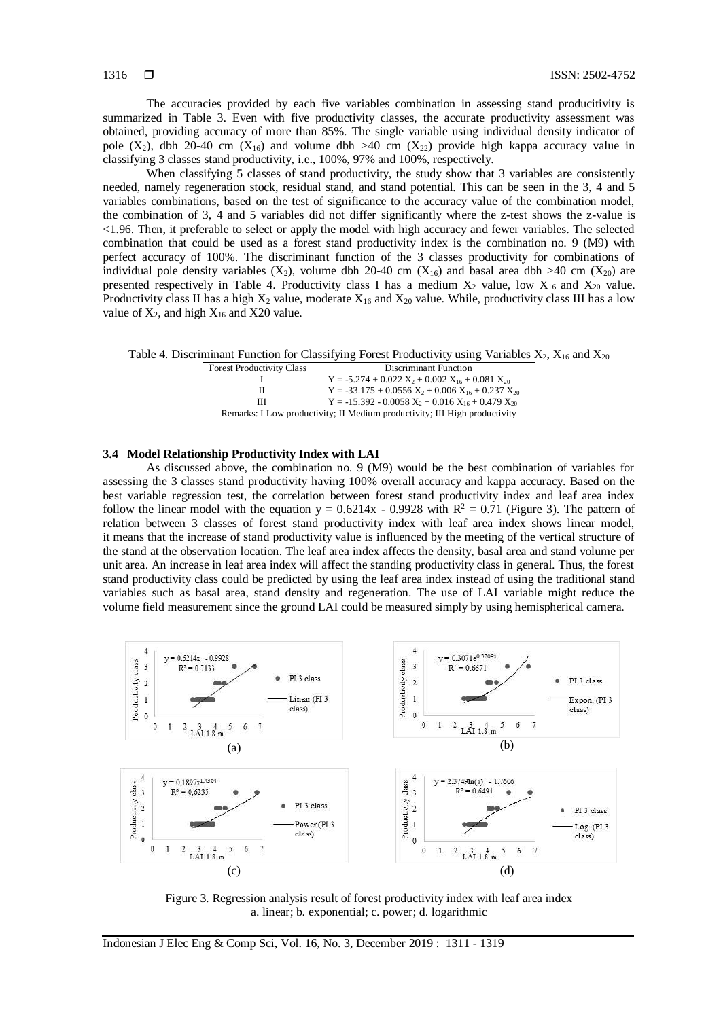The accuracies provided by each five variables combination in assessing stand producitivity is summarized in Table 3. Even with five productivity classes, the accurate productivity assessment was obtained, providing accuracy of more than 85%. The single variable using individual density indicator of pole  $(X_2)$ , dbh 20-40 cm  $(X_{16})$  and volume dbh >40 cm  $(X_{22})$  provide high kappa accuracy value in classifying 3 classes stand productivity, i.e., 100%, 97% and 100%, respectively.

When classifying 5 classes of stand productivity, the study show that 3 variables are consistently needed, namely regeneration stock, residual stand, and stand potential. This can be seen in the 3, 4 and 5 variables combinations, based on the test of significance to the accuracy value of the combination model, the combination of 3, 4 and 5 variables did not differ significantly where the z-test shows the z-value is <1.96. Then, it preferable to select or apply the model with high accuracy and fewer variables. The selected combination that could be used as a forest stand productivity index is the combination no. 9 (M9) with perfect accuracy of 100%. The discriminant function of the 3 classes productivity for combinations of individual pole density variables  $(X_2)$ , volume dbh 20-40 cm  $(X_{16})$  and basal area dbh >40 cm  $(X_{20})$  are presented respectively in Table 4. Productivity class I has a medium  $X_2$  value, low  $X_{16}$  and  $X_{20}$  value. Productivity class II has a high  $X_2$  value, moderate  $X_{16}$  and  $X_{20}$  value. While, productivity class III has a low value of  $X_2$ , and high  $X_{16}$  and X20 value.

Table 4. Discriminant Function for Classifying Forest Productivity using Variables  $X_2, X_{16}$  and  $X_{20}$ 

| <b>Forest Productivity Class</b>                                           | Discriminant Function                                    |  |  |
|----------------------------------------------------------------------------|----------------------------------------------------------|--|--|
|                                                                            | $Y = -5.274 + 0.022 X_2 + 0.002 X_{16} + 0.081 X_{20}$   |  |  |
| н                                                                          | $Y = -33.175 + 0.0556 X_2 + 0.006 X_{16} + 0.237 X_{20}$ |  |  |
| ш                                                                          | $Y = -15.392 - 0.0058 X_2 + 0.016 X_{16} + 0.479 X_{20}$ |  |  |
| Remarks: I Low productivity; II Medium productivity; III High productivity |                                                          |  |  |

#### **3.4 Model Relationship Productivity Index with LAI**

As discussed above, the combination no. 9 (M9) would be the best combination of variables for assessing the 3 classes stand productivity having 100% overall accuracy and kappa accuracy. Based on the best variable regression test, the correlation between forest stand productivity index and leaf area index follow the linear model with the equation  $y = 0.6214x - 0.9928$  with  $R^2 = 0.71$  (Figure 3). The pattern of relation between 3 classes of forest stand productivity index with leaf area index shows linear model, it means that the increase of stand productivity value is influenced by the meeting of the vertical structure of the stand at the observation location. The leaf area index affects the density, basal area and stand volume per unit area. An increase in leaf area index will affect the standing productivity class in general. Thus, the forest stand productivity class could be predicted by using the leaf area index instead of using the traditional stand variables such as basal area, stand density and regeneration. The use of LAI variable might reduce the volume field measurement since the ground LAI could be measured simply by using hemispherical camera.



Figure 3. Regression analysis result of forest productivity index with leaf area index a. linear; b. exponential; c. power; d. logarithmic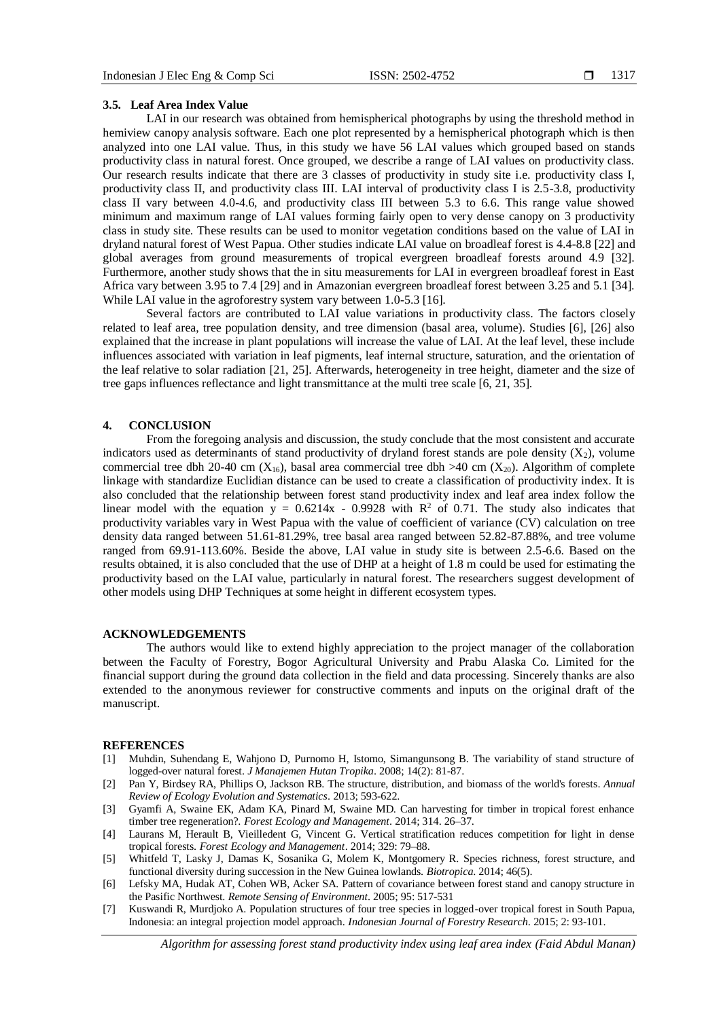#### **3.5. Leaf Area Index Value**

LAI in our research was obtained from hemispherical photographs by using the threshold method in hemiview canopy analysis software. Each one plot represented by a hemispherical photograph which is then analyzed into one LAI value. Thus, in this study we have 56 LAI values which grouped based on stands productivity class in natural forest. Once grouped, we describe a range of LAI values on productivity class. Our research results indicate that there are 3 classes of productivity in study site i.e. productivity class I, productivity class II, and productivity class III. LAI interval of productivity class I is 2.5-3.8, productivity class II vary between 4.0-4.6, and productivity class III between 5.3 to 6.6. This range value showed minimum and maximum range of LAI values forming fairly open to very dense canopy on 3 productivity class in study site. These results can be used to monitor vegetation conditions based on the value of LAI in dryland natural forest of West Papua. Other studies indicate LAI value on broadleaf forest is 4.4-8.8 [22] and global averages from ground measurements of tropical evergreen broadleaf forests around 4.9 [32]. Furthermore, another study shows that the in situ measurements for LAI in evergreen broadleaf forest in East Africa vary between 3.95 to 7.4 [29] and in Amazonian evergreen broadleaf forest between 3.25 and 5.1 [34]. While LAI value in the agroforestry system vary between 1.0-5.3 [16].

Several factors are contributed to LAI value variations in productivity class. The factors closely related to leaf area, tree population density, and tree dimension (basal area, volume). Studies [6], [26] also explained that the increase in plant populations will increase the value of LAI. At the leaf level, these include influences associated with variation in leaf pigments, leaf internal structure, saturation, and the orientation of the leaf relative to solar radiation [21, 25]. Afterwards, heterogeneity in tree height, diameter and the size of tree gaps influences reflectance and light transmittance at the multi tree scale [6, 21, 35].

#### **4. CONCLUSION**

From the foregoing analysis and discussion, the study conclude that the most consistent and accurate indicators used as determinants of stand productivity of dryland forest stands are pole density  $(X_2)$ , volume commercial tree dbh 20-40 cm ( $X_{16}$ ), basal area commercial tree dbh >40 cm ( $X_{20}$ ). Algorithm of complete linkage with standardize Euclidian distance can be used to create a classification of productivity index. It is also concluded that the relationship between forest stand productivity index and leaf area index follow the linear model with the equation  $y = 0.6214x - 0.9928$  with  $R^2$  of 0.71. The study also indicates that productivity variables vary in West Papua with the value of coefficient of variance (CV) calculation on tree density data ranged between 51.61-81.29%, tree basal area ranged between 52.82-87.88%, and tree volume ranged from 69.91-113.60%. Beside the above, LAI value in study site is between 2.5-6.6. Based on the results obtained, it is also concluded that the use of DHP at a height of 1.8 m could be used for estimating the productivity based on the LAI value, particularly in natural forest. The researchers suggest development of other models using DHP Techniques at some height in different ecosystem types.

#### **ACKNOWLEDGEMENTS**

The authors would like to extend highly appreciation to the project manager of the collaboration between the Faculty of Forestry, Bogor Agricultural University and Prabu Alaska Co. Limited for the financial support during the ground data collection in the field and data processing. Sincerely thanks are also extended to the anonymous reviewer for constructive comments and inputs on the original draft of the manuscript.

#### **REFERENCES**

- [1] Muhdin, Suhendang E, Wahjono D, Purnomo H, Istomo, Simangunsong B. The variability of stand structure of logged-over natural forest. *J Manajemen Hutan Tropika*. 2008; 14(2): 81-87.
- [2] Pan Y, Birdsey RA, Phillips O, Jackson RB. The structure, distribution, and biomass of the world's forests. *Annual Review of Ecology Evolution and Systematics*. 2013; 593-622.
- [3] Gyamfi A, Swaine EK, Adam KA, Pinard M, Swaine MD. Can harvesting for timber in tropical forest enhance timber tree regeneration?. *Forest Ecology and Management*. 2014; 314. 26–37.
- [4] Laurans M, Herault B, Vieilledent G, Vincent G. Vertical stratification reduces competition for light in dense tropical forests. *Forest Ecology and Management*. 2014; 329: 79–88.
- [5] Whitfeld T, Lasky J, Damas K, Sosanika G, Molem K, Montgomery R. Species richness, forest structure, and functional diversity during succession in the New Guinea lowlands. *Biotropica*. 2014; 46(5).
- [6] Lefsky MA, Hudak AT, Cohen WB, Acker SA. Pattern of covariance between forest stand and canopy structure in the Pasific Northwest. *Remote Sensing of Environment*. 2005; 95: 517-531
- [7] Kuswandi R, Murdjoko A. Population structures of four tree species in logged-over tropical forest in South Papua, Indonesia: an integral projection model approach. *Indonesian Journal of Forestry Research*. 2015; 2: 93-101.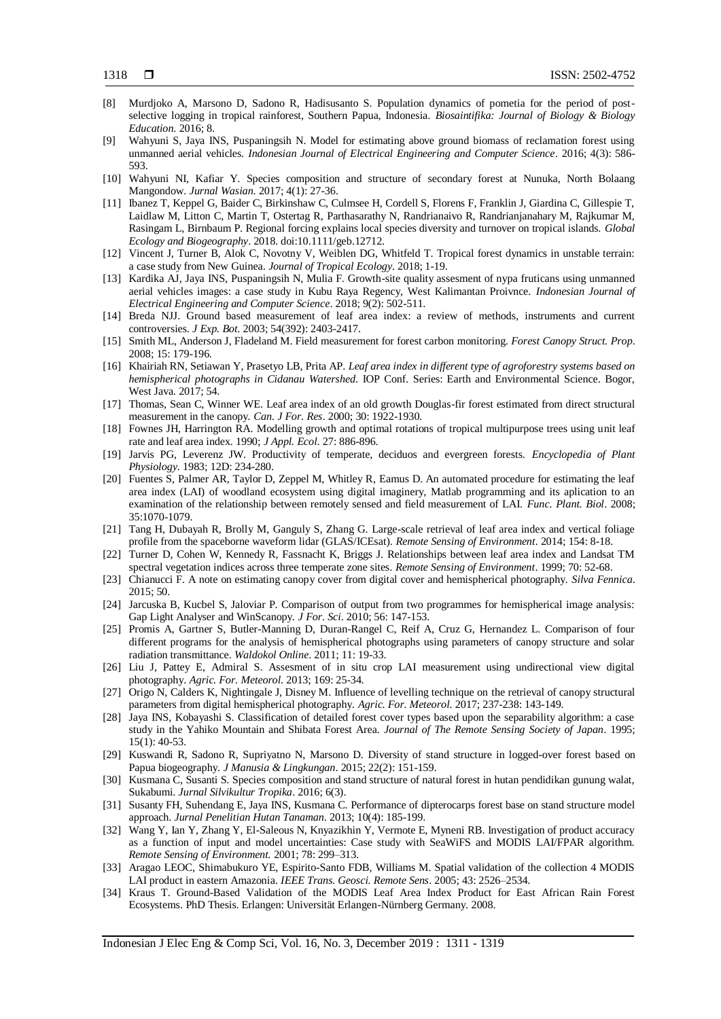- [8] Murdjoko A, Marsono D, Sadono R, Hadisusanto S. Population dynamics of pometia for the period of postselective logging in tropical rainforest, Southern Papua, Indonesia. *Biosaintifika: Journal of Biology & Biology Education*. 2016; 8.
- [9] Wahyuni S, Jaya INS, Puspaningsih N. Model for estimating above ground biomass of reclamation forest using unmanned aerial vehicles. *Indonesian Journal of Electrical Engineering and Computer Science*. 2016; 4(3): 586- 593.
- [10] Wahyuni NI, Kafiar Y. Species composition and structure of secondary forest at Nunuka, North Bolaang Mangondow. *Jurnal Wasian*. 2017; 4(1): 27-36.
- [11] Ibanez T, Keppel G, Baider C, Birkinshaw C, Culmsee H, Cordell S, Florens F, Franklin J, Giardina C, Gillespie T, Laidlaw M, Litton C, Martin T, Ostertag R, Parthasarathy N, Randrianaivo R, Randrianjanahary M, Rajkumar M, Rasingam L, Birnbaum P. Regional forcing explains local species diversity and turnover on tropical islands. *Global Ecology and Biogeography*. 2018. doi:10.1111/geb.12712.
- [12] Vincent J, Turner B, Alok C, Novotny V, Weiblen DG, Whitfeld T. Tropical forest dynamics in unstable terrain: a case study from New Guinea. *Journal of Tropical Ecology*. 2018; 1-19.
- [13] Kardika AJ, Jaya INS, Puspaningsih N, Mulia F. Growth-site quality assesment of nypa fruticans using unmanned aerial vehicles images: a case study in Kubu Raya Regency, West Kalimantan Proivnce. *Indonesian Journal of Electrical Engineering and Computer Science*. 2018; 9(2): 502-511.
- [14] Breda NJJ. Ground based measurement of leaf area index: a review of methods, instruments and current controversies. *J Exp. Bot*. 2003; 54(392): 2403-2417.
- [15] Smith ML, Anderson J, Fladeland M. Field measurement for forest carbon monitoring. *Forest Canopy Struct. Prop*. 2008; 15: 179-196.
- [16] Khairiah RN, Setiawan Y, Prasetyo LB, Prita AP. *Leaf area index in different type of agroforestry systems based on hemispherical photographs in Cidanau Watershed*. IOP Conf. Series: Earth and Environmental Science. Bogor, West Java. 2017; 54.
- [17] Thomas, Sean C, Winner WE. Leaf area index of an old growth Douglas-fir forest estimated from direct structural measurement in the canopy*. Can. J For. Res*. 2000; 30: 1922-1930.
- [18] Fownes JH, Harrington RA. Modelling growth and optimal rotations of tropical multipurpose trees using unit leaf rate and leaf area index. 1990; *J Appl. Ecol*. 27: 886-896.
- [19] Jarvis PG, Leverenz JW. Productivity of temperate, deciduos and evergreen forests. *Encyclopedia of Plant Physiology*. 1983; 12D: 234-280.
- [20] Fuentes S, Palmer AR, Taylor D, Zeppel M, Whitley R, Eamus D. An automated procedure for estimating the leaf area index (LAI) of woodland ecosystem using digital imaginery, Matlab programming and its aplication to an examination of the relationship between remotely sensed and field measurement of LAI. *Func. Plant. Biol*. 2008; 35:1070-1079.
- [21] Tang H, Dubayah R, Brolly M, Ganguly S, Zhang G. Large-scale retrieval of leaf area index and vertical foliage profile from the spaceborne waveform lidar (GLAS/ICEsat). *Remote Sensing of Environment*. 2014; 154: 8-18.
- [22] Turner D, Cohen W, Kennedy R, Fassnacht K, Briggs J. Relationships between leaf area index and Landsat TM spectral vegetation indices across three temperate zone sites. *Remote Sensing of Environment*. 1999; 70: 52-68.
- [23] Chianucci F. A note on estimating canopy cover from digital cover and hemispherical photography. *Silva Fennica*. 2015; 50.
- [24] Jarcuska B, Kucbel S, Jaloviar P. Comparison of output from two programmes for hemispherical image analysis: Gap Light Analyser and WinScanopy. *J For. Sci*. 2010; 56: 147-153.
- [25] Promis A, Gartner S, Butler-Manning D, Duran-Rangel C, Reif A, Cruz G, Hernandez L. Comparison of four different programs for the analysis of hemispherical photographs using parameters of canopy structure and solar radiation transmittance. *Waldokol Online*. 2011; 11: 19-33.
- [26] Liu J, Pattey E, Admiral S. Assesment of in situ crop LAI measurement using undirectional view digital photography. *Agric. For. Meteorol*. 2013; 169: 25-34.
- [27] Origo N, Calders K, Nightingale J, Disney M. Influence of levelling technique on the retrieval of canopy structural parameters from digital hemispherical photography. *Agric. For. Meteorol*. 2017; 237-238: 143-149.
- [28] Jaya INS, Kobayashi S. Classification of detailed forest cover types based upon the separability algorithm: a case study in the Yahiko Mountain and Shibata Forest Area*. Journal of The Remote Sensing Society of Japan*. 1995; 15(1): 40-53.
- [29] Kuswandi R, Sadono R, Supriyatno N, Marsono D. Diversity of stand structure in logged-over forest based on Papua biogeography. *J Manusia & Lingkungan*. 2015; 22(2): 151-159.
- [30] Kusmana C, Susanti S. Species composition and stand structure of natural forest in hutan pendidikan gunung walat, Sukabumi. *Jurnal Silvikultur Tropika*. 2016; 6(3).
- [31] Susanty FH, Suhendang E, Jaya INS, Kusmana C. Performance of dipterocarps forest base on stand structure model approach. *Jurnal Penelitian Hutan Tanaman*. 2013; 10(4): 185-199.
- [32] Wang Y, Ian Y, Zhang Y, El-Saleous N, Knyazikhin Y, Vermote E, Myneni RB. Investigation of product accuracy as a function of input and model uncertainties: Case study with SeaWiFS and MODIS LAI/FPAR algorithm. *Remote Sensing of Environment.* 2001; 78: 299–313.
- [33] Aragao LEOC, Shimabukuro YE, Espirito-Santo FDB, Williams M. Spatial validation of the collection 4 MODIS LAI product in eastern Amazonia. *IEEE Trans. Geosci. Remote Sens*. 2005; 43: 2526–2534.
- [34] Kraus T. Ground-Based Validation of the MODIS Leaf Area Index Product for East African Rain Forest Ecosystems. PhD Thesis. Erlangen: Universität Erlangen-Nürnberg Germany. 2008.